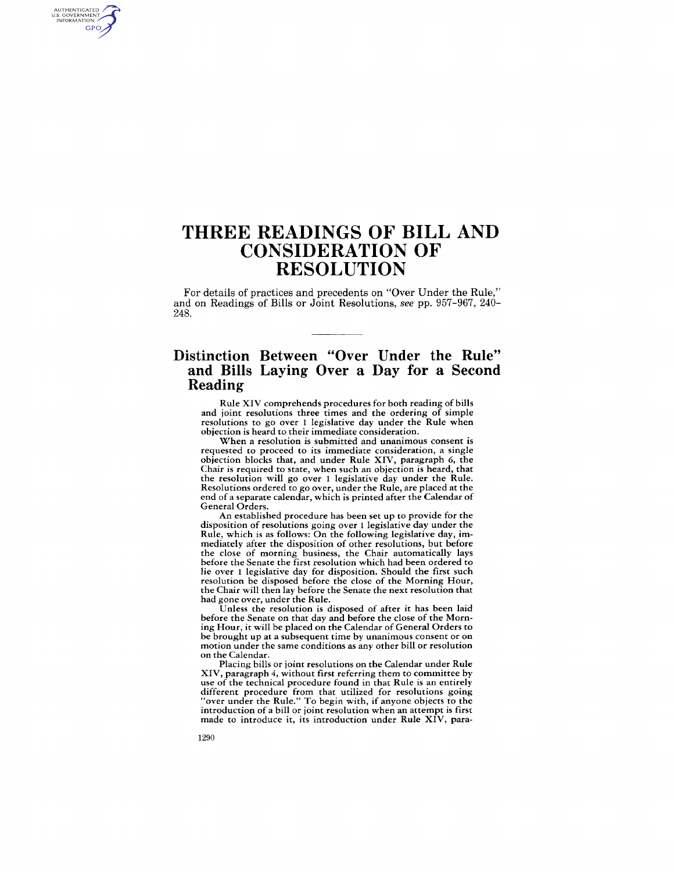## **THREE READINGS OF BILL AND CONSIDERATION OF RESOLUTION**

For details of practices and precedents on "Over Under the Rule," and on Readings of Bills or Joint Resolutions, *see* pp. 957-967, 240- 248.

### **Distinction Between "Over Under the Rule" and Bills Laying Over a Day for a Second Reading**

Rule XIV comprehends procedures for both reading of bills and joint resolutions three times and the ordering of simple resolutions to go over 1 legislative day under the Rule when objection is heard to their immediate consideration.

When a resolution is submitted and unanimous consent is requested to proceed to its immediate consideration, a single objection blocks that, and under Rule XIV, paragraph 6, the Chair is required to state, when such an objection is heard, that the resolution will go over 1 legislative day under the Rule. Resolutions ordered to go over, under the Rule, are placed at the end of a separate calendar, which is printed after the Calendar of General Orders.

An established procedure has been set up to provide for the disposition of resolutions going over 1 legislative day under the Rule, which is as follows: On the following legislative day, immediately after the disposition of other resolutions, but before the close of morning business, the Chair automatically lays before the Senate the first resolution which had been ordered to lie over 1 legislative day for disposition. Should the first such resolution be disposed before the close of the Morning Hour, the Chair will then lay before the Senate the next resolution that had gone over, under the Rule.

Unless the resolution is disposed of after it has been laid before the Senate on that day and before the close of the Morning Hour, it will be placed on the Calendar of General Orders to be brought up at a subsequent time by unanimous consent or on motion under the same conditions as any other bill or resolution on the Calendar.

Placing bills or joint resolutions on the Calendar under Rule XIV, paragraph 4, without first referring them to committee by use of the technical procedure found in that Rule is an entirely different procedure from that utilized for resolutions going "over under the Rule." To begin with, if anyone objects to the introduction of a bill or joint resolution when an attempt is first made to introduce it, its introduction under Rule XIV, para-

AUTHENTICATED<br>U.S. GOVERNMENT<br>INFORMATION **GPO**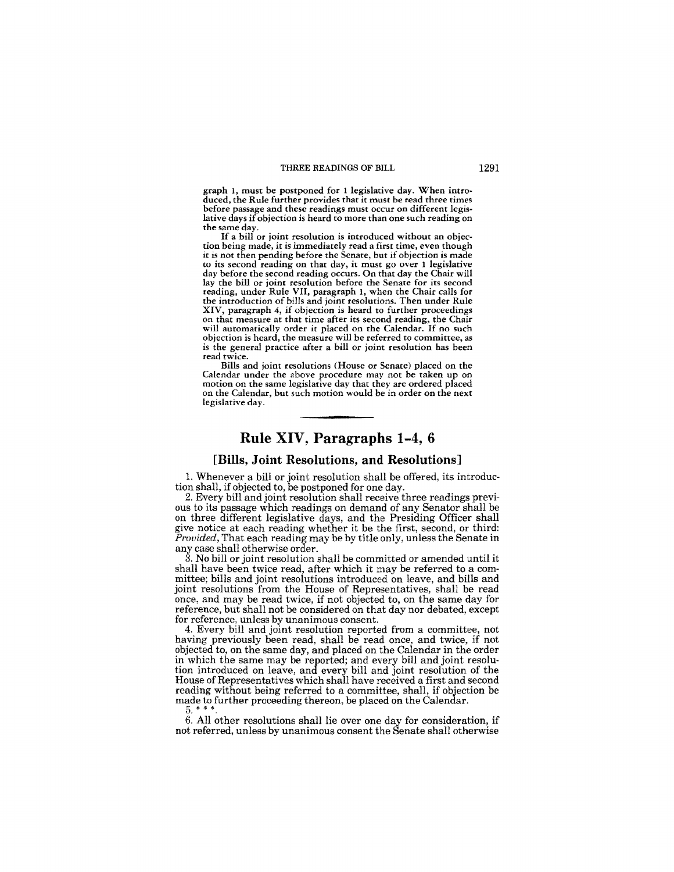graph 1, must be postponed for 1 legislative day. When introduced, the Rule further provides that it must be read three times before passage and these readings must occur on different legislative days if objection is heard to more than one such reading on the same day.

If a bill or joint resolution is introduced without an objection being made, it is immediately read a first time, even though it is not then pending before the Senate, but if objection is made to its second reading on that day, it must go over 1 legislative day before the second reading occurs. On that day the Chair will lay the bill or joint resolution before the Senate for its second reading, under Rule VII, paragraph 1, when the Chair calls for the introduction of bills and joint resolutions. Then under Rule XIV, paragraph 4, if objection is heard to further proceedings on that measure at that time after its second reading, the Chair will automatically order it placed on the Calendar. If no such objection is heard, the measure will be referred to committee, as is the general practice after a bill or joint resolution has been read twice.

Bills and joint resolutions (House or Senate) placed on the Calendar under the above procedure may not be taken up on motion on the same legislative day that they are ordered placed on the Calendar, but such motion would be in order on the next legislative day.

### **Rule XIV, Paragraphs 1-4, 6**

#### **[Bills, Joint Resolutions, and Resolutions]**

1. Whenever a bill or joint resolution shall be offered, its introduction shall, if objected to, be postponed for one day.

2. Every bill and joint resolution shall receive three readings previous to its passage which readings on demand of any Senator shall be on three different legislative days, and the Presiding Officer shall give notice at each reading whether it be the first, second, or third: *Provided,* That each reading may be by title only, unless the Senate in any case shall otherwise order.

3. No bill or joint resolution shall be committed or amended until it shall have been twice read, after which it mav be referred to a committee; bills and joint resolutions introduced on leave, and bills and joint resolutions from the House of Representatives, shall be read once, and may be read twice, if not objected to, on the same day for reference, but shall not be considered on that day nor debated, except for reference, unless by unanimous consent.

4. Every bill and joint resolution reported from a committee, not having previously been read, shall be read once, and twice, if not objected to, on the same day, and placed on the Calendar in the order in which the same may be reported; and every bill and joint resolution introduced on leave, and every bill and joint resolution of the House of Representatives which shall have received a first and second reading without being referred to a committee, shall, if objection be made to further proceeding thereon, be placed on the Calendar. 5. \* \* \*.

6. All other resolutions shall lie over one day for consideration, if not referred, unless by unanimous consent the Senate shall otherwise